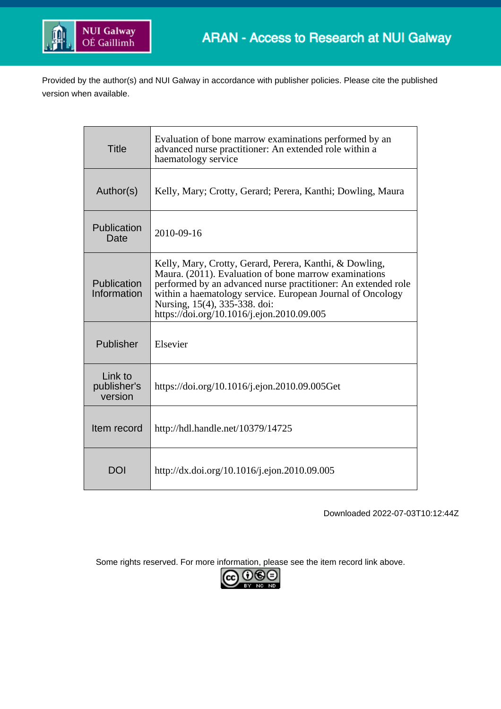

Provided by the author(s) and NUI Galway in accordance with publisher policies. Please cite the published version when available.

| <b>Title</b>                      | Evaluation of bone marrow examinations performed by an<br>advanced nurse practitioner: An extended role within a<br>haematology service                                                                                                                                                                                        |
|-----------------------------------|--------------------------------------------------------------------------------------------------------------------------------------------------------------------------------------------------------------------------------------------------------------------------------------------------------------------------------|
| Author(s)                         | Kelly, Mary; Crotty, Gerard; Perera, Kanthi; Dowling, Maura                                                                                                                                                                                                                                                                    |
| Publication<br>Date               | 2010-09-16                                                                                                                                                                                                                                                                                                                     |
| Publication<br>Information        | Kelly, Mary, Crotty, Gerard, Perera, Kanthi, & Dowling,<br>Maura. (2011). Evaluation of bone marrow examinations<br>performed by an advanced nurse practitioner: An extended role<br>within a haematology service. European Journal of Oncology<br>Nursing, 15(4), 335-338. doi:<br>https://doi.org/10.1016/j.ejon.2010.09.005 |
| Publisher                         | Elsevier                                                                                                                                                                                                                                                                                                                       |
| Link to<br>publisher's<br>version | https://doi.org/10.1016/j.ejon.2010.09.005Get                                                                                                                                                                                                                                                                                  |
| Item record                       | http://hdl.handle.net/10379/14725                                                                                                                                                                                                                                                                                              |
| <b>DOI</b>                        | http://dx.doi.org/10.1016/j.ejon.2010.09.005                                                                                                                                                                                                                                                                                   |

Downloaded 2022-07-03T10:12:44Z

Some rights reserved. For more information, please see the item record link above.

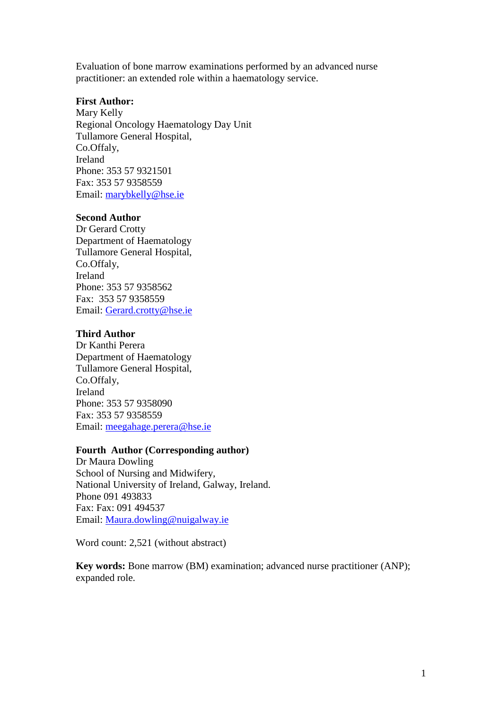Evaluation of bone marrow examinations performed by an advanced nurse practitioner: an extended role within a haematology service.

# **First Author:**

Mary Kelly Regional Oncology Haematology Day Unit Tullamore General Hospital, Co.Offaly, Ireland Phone: 353 57 9321501 Fax: 353 57 9358559 Email: [marybkelly@hse.ie](mailto:marybkelly@hse.ie)

# **Second Author**

Dr Gerard Crotty Department of Haematology Tullamore General Hospital, Co.Offaly, Ireland Phone: 353 57 9358562 Fax: 353 57 9358559 Email: [Gerard.crotty@hse.ie](mailto:Gerard.crotty@hse.ie)

## **Third Author**

Dr Kanthi Perera Department of Haematology Tullamore General Hospital, Co.Offaly, Ireland Phone: 353 57 9358090 Fax: 353 57 9358559 Email: [meegahage.perera@hse.ie](mailto:meegahage.perera@hse.ie)

## **Fourth Author (Corresponding author)**

Dr Maura Dowling School of Nursing and Midwifery, National University of Ireland, Galway, Ireland. Phone 091 493833 Fax: Fax: 091 494537 Email: [Maura.dowling@nuigalway.ie](mailto:Maura.dowling@nuigalway.ie)

Word count: 2,521 (without abstract)

**Key words:** Bone marrow (BM) examination; advanced nurse practitioner (ANP); expanded role.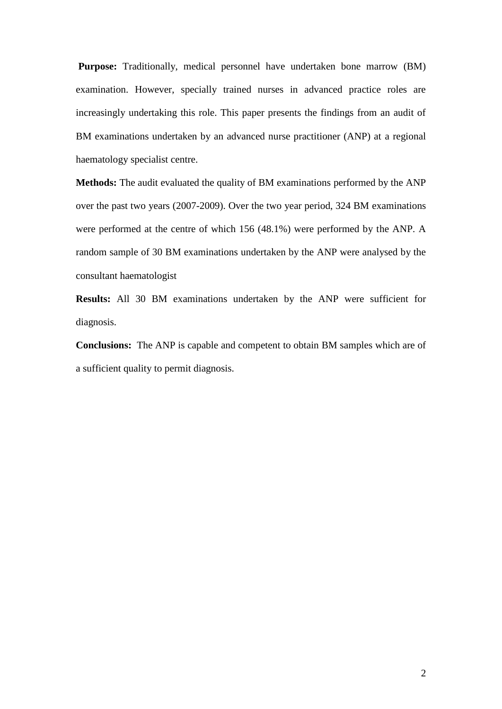**Purpose:** Traditionally, medical personnel have undertaken bone marrow (BM) examination. However, specially trained nurses in advanced practice roles are increasingly undertaking this role. This paper presents the findings from an audit of BM examinations undertaken by an advanced nurse practitioner (ANP) at a regional haematology specialist centre.

**Methods:** The audit evaluated the quality of BM examinations performed by the ANP over the past two years (2007-2009). Over the two year period, 324 BM examinations were performed at the centre of which 156 (48.1%) were performed by the ANP. A random sample of 30 BM examinations undertaken by the ANP were analysed by the consultant haematologist

**Results:** All 30 BM examinations undertaken by the ANP were sufficient for diagnosis.

**Conclusions:** The ANP is capable and competent to obtain BM samples which are of a sufficient quality to permit diagnosis.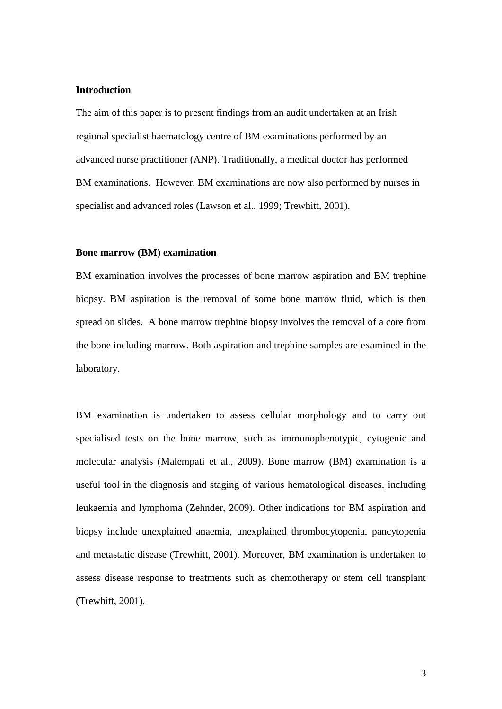## **Introduction**

The aim of this paper is to present findings from an audit undertaken at an Irish regional specialist haematology centre of BM examinations performed by an advanced nurse practitioner (ANP). Traditionally, a medical doctor has performed BM examinations. However, BM examinations are now also performed by nurses in specialist and advanced roles (Lawson et al., 1999; Trewhitt, 2001).

#### **Bone marrow (BM) examination**

BM examination involves the processes of bone marrow aspiration and BM trephine biopsy. BM aspiration is the removal of some bone marrow fluid, which is then spread on slides. A bone marrow trephine biopsy involves the removal of a core from the bone including marrow. Both aspiration and trephine samples are examined in the laboratory.

BM examination is undertaken to assess cellular morphology and to carry out specialised tests on the bone marrow, such as immunophenotypic, cytogenic and molecular analysis (Malempati et al., 2009). Bone marrow (BM) examination is a useful tool in the diagnosis and staging of various hematological diseases, including leukaemia and lymphoma (Zehnder, 2009). Other indications for BM aspiration and biopsy include unexplained anaemia, unexplained thrombocytopenia, pancytopenia and metastatic disease (Trewhitt, 2001). Moreover, BM examination is undertaken to assess disease response to treatments such as chemotherapy or stem cell transplant (Trewhitt, 2001).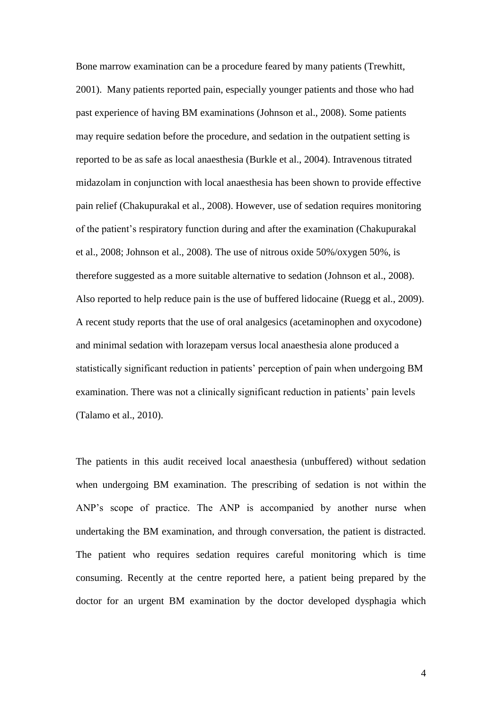Bone marrow examination can be a procedure feared by many patients (Trewhitt, 2001). Many patients reported pain, especially younger patients and those who had past experience of having BM examinations (Johnson et al., 2008). Some patients may require sedation before the procedure, and sedation in the outpatient setting is reported to be as safe as local anaesthesia (Burkle et al., 2004). Intravenous titrated midazolam in conjunction with local anaesthesia has been shown to provide effective pain relief (Chakupurakal et al., 2008). However, use of sedation requires monitoring of the patient's respiratory function during and after the examination (Chakupurakal et al., 2008; Johnson et al., 2008). The use of nitrous oxide 50%/oxygen 50%, is therefore suggested as a more suitable alternative to sedation (Johnson et al., 2008). Also reported to help reduce pain is the use of buffered lidocaine (Ruegg et al., 2009). A recent study reports that the use of oral analgesics (acetaminophen and oxycodone) and minimal sedation with lorazepam versus local anaesthesia alone produced a statistically significant reduction in patients' perception of pain when undergoing BM examination. There was not a clinically significant reduction in patients' pain levels (Talamo et al., 2010).

The patients in this audit received local anaesthesia (unbuffered) without sedation when undergoing BM examination. The prescribing of sedation is not within the ANP's scope of practice. The ANP is accompanied by another nurse when undertaking the BM examination, and through conversation, the patient is distracted. The patient who requires sedation requires careful monitoring which is time consuming. Recently at the centre reported here, a patient being prepared by the doctor for an urgent BM examination by the doctor developed dysphagia which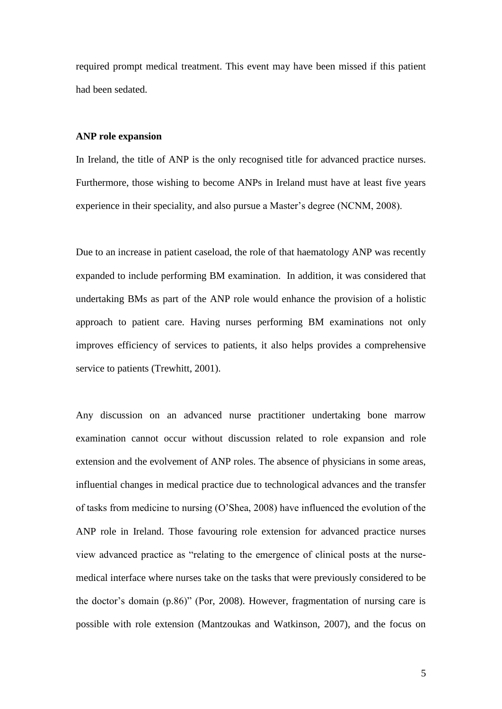required prompt medical treatment. This event may have been missed if this patient had been sedated.

#### **ANP role expansion**

In Ireland, the title of ANP is the only recognised title for advanced practice nurses. Furthermore, those wishing to become ANPs in Ireland must have at least five years experience in their speciality, and also pursue a Master's degree (NCNM, 2008).

Due to an increase in patient caseload, the role of that haematology ANP was recently expanded to include performing BM examination. In addition, it was considered that undertaking BMs as part of the ANP role would enhance the provision of a holistic approach to patient care. Having nurses performing BM examinations not only improves efficiency of services to patients, it also helps provides a comprehensive service to patients (Trewhitt, 2001).

Any discussion on an advanced nurse practitioner undertaking bone marrow examination cannot occur without discussion related to role expansion and role extension and the evolvement of ANP roles. The absence of physicians in some areas, influential changes in medical practice due to technological advances and the transfer of tasks from medicine to nursing (O'Shea, 2008) have influenced the evolution of the ANP role in Ireland. Those favouring role extension for advanced practice nurses view advanced practice as "relating to the emergence of clinical posts at the nursemedical interface where nurses take on the tasks that were previously considered to be the doctor's domain (p.86)" (Por, 2008). However, fragmentation of nursing care is possible with role extension (Mantzoukas and Watkinson, 2007), and the focus on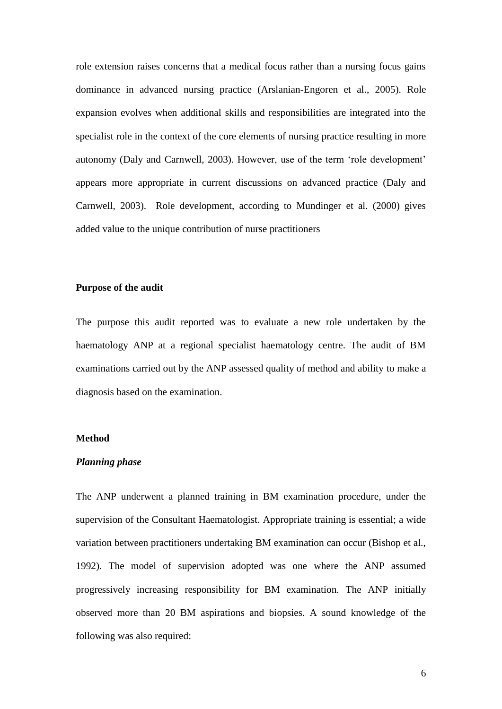role extension raises concerns that a medical focus rather than a nursing focus gains dominance in advanced nursing practice (Arslanian-Engoren et al., 2005). Role expansion evolves when additional skills and responsibilities are integrated into the specialist role in the context of the core elements of nursing practice resulting in more autonomy (Daly and Carnwell, 2003). However, use of the term 'role development' appears more appropriate in current discussions on advanced practice (Daly and Carnwell, 2003). Role development, according to Mundinger et al. (2000) gives added value to the unique contribution of nurse practitioners

### **Purpose of the audit**

The purpose this audit reported was to evaluate a new role undertaken by the haematology ANP at a regional specialist haematology centre. The audit of BM examinations carried out by the ANP assessed quality of method and ability to make a diagnosis based on the examination.

## **Method**

### *Planning phase*

The ANP underwent a planned training in BM examination procedure, under the supervision of the Consultant Haematologist. Appropriate training is essential; a wide variation between practitioners undertaking BM examination can occur (Bishop et al., 1992). The model of supervision adopted was one where the ANP assumed progressively increasing responsibility for BM examination. The ANP initially observed more than 20 BM aspirations and biopsies. A sound knowledge of the following was also required: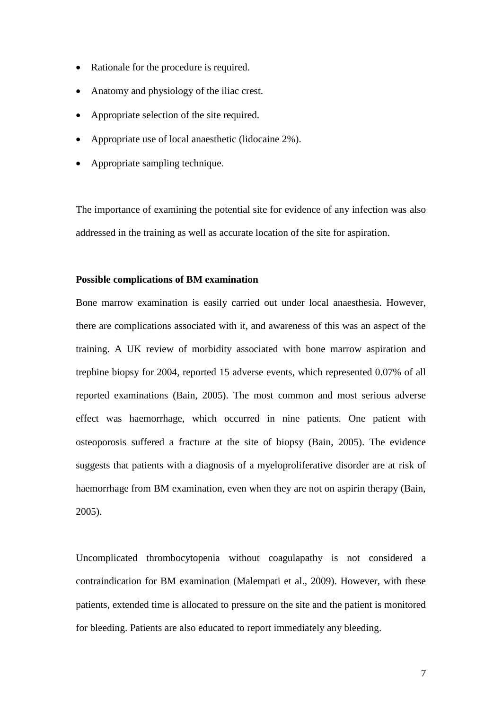- Rationale for the procedure is required.
- Anatomy and physiology of the iliac crest.
- Appropriate selection of the site required.
- Appropriate use of local anaesthetic (lidocaine 2%).
- Appropriate sampling technique.

The importance of examining the potential site for evidence of any infection was also addressed in the training as well as accurate location of the site for aspiration.

## **Possible complications of BM examination**

Bone marrow examination is easily carried out under local anaesthesia. However, there are complications associated with it, and awareness of this was an aspect of the training. A UK review of morbidity associated with bone marrow aspiration and trephine biopsy for 2004, reported 15 adverse events, which represented 0.07% of all reported examinations (Bain, 2005). The most common and most serious adverse effect was haemorrhage, which occurred in nine patients. One patient with osteoporosis suffered a fracture at the site of biopsy (Bain, 2005). The evidence suggests that patients with a diagnosis of a myeloproliferative disorder are at risk of haemorrhage from BM examination, even when they are not on aspirin therapy (Bain, 2005).

Uncomplicated thrombocytopenia without coagulapathy is not considered a contraindication for BM examination (Malempati et al., 2009). However, with these patients, extended time is allocated to pressure on the site and the patient is monitored for bleeding. Patients are also educated to report immediately any bleeding.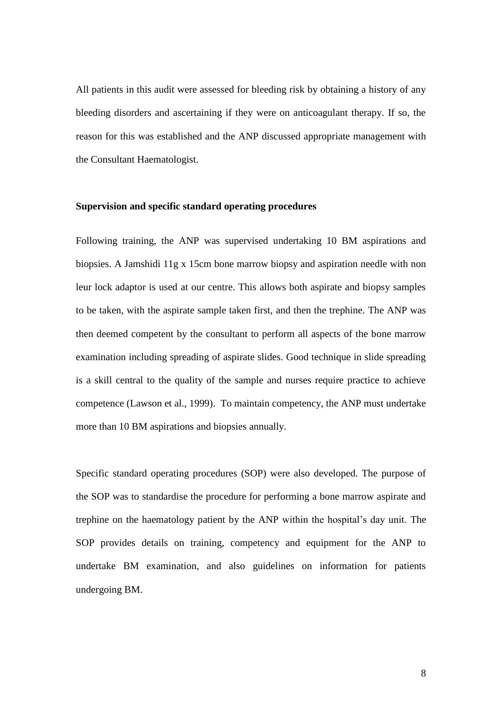All patients in this audit were assessed for bleeding risk by obtaining a history of any bleeding disorders and ascertaining if they were on anticoagulant therapy. If so, the reason for this was established and the ANP discussed appropriate management with the Consultant Haematologist.

## **Supervision and specific standard operating procedures**

Following training, the ANP was supervised undertaking 10 BM aspirations and biopsies. A Jamshidi 11g x 15cm bone marrow biopsy and aspiration needle with non leur lock adaptor is used at our centre. This allows both aspirate and biopsy samples to be taken, with the aspirate sample taken first, and then the trephine. The ANP was then deemed competent by the consultant to perform all aspects of the bone marrow examination including spreading of aspirate slides. Good technique in slide spreading is a skill central to the quality of the sample and nurses require practice to achieve competence (Lawson et al., 1999). To maintain competency, the ANP must undertake more than 10 BM aspirations and biopsies annually.

Specific standard operating procedures (SOP) were also developed. The purpose of the SOP was to standardise the procedure for performing a bone marrow aspirate and trephine on the haematology patient by the ANP within the hospital's day unit. The SOP provides details on training, competency and equipment for the ANP to undertake BM examination, and also guidelines on information for patients undergoing BM.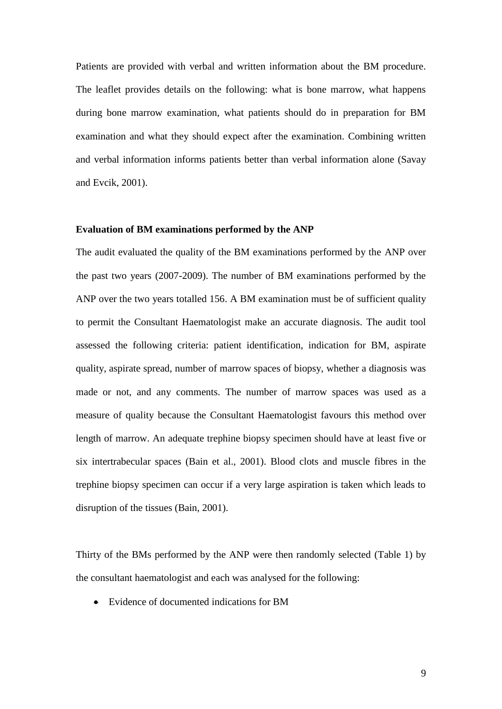Patients are provided with verbal and written information about the BM procedure. The leaflet provides details on the following: what is bone marrow, what happens during bone marrow examination, what patients should do in preparation for BM examination and what they should expect after the examination. Combining written and verbal information informs patients better than verbal information alone (Savay and Evcik, 2001).

#### **Evaluation of BM examinations performed by the ANP**

The audit evaluated the quality of the BM examinations performed by the ANP over the past two years (2007-2009). The number of BM examinations performed by the ANP over the two years totalled 156. A BM examination must be of sufficient quality to permit the Consultant Haematologist make an accurate diagnosis. The audit tool assessed the following criteria: patient identification, indication for BM, aspirate quality, aspirate spread, number of marrow spaces of biopsy, whether a diagnosis was made or not, and any comments. The number of marrow spaces was used as a measure of quality because the Consultant Haematologist favours this method over length of marrow. An adequate trephine biopsy specimen should have at least five or six intertrabecular spaces (Bain et al., 2001). Blood clots and muscle fibres in the trephine biopsy specimen can occur if a very large aspiration is taken which leads to disruption of the tissues (Bain, 2001).

Thirty of the BMs performed by the ANP were then randomly selected (Table 1) by the consultant haematologist and each was analysed for the following:

Evidence of documented indications for BM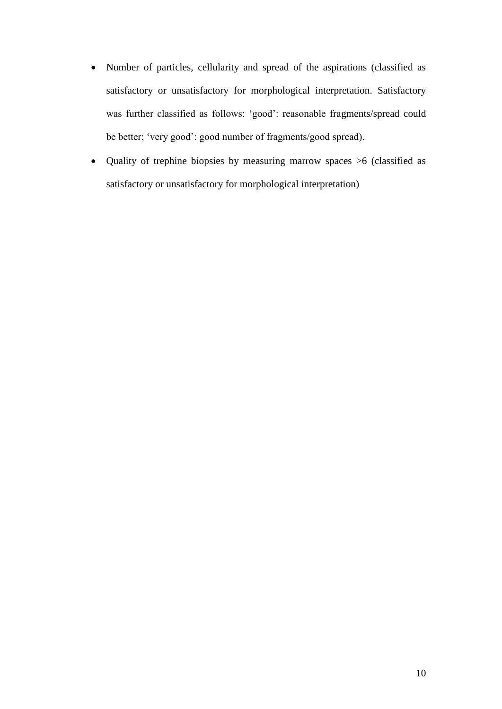- Number of particles, cellularity and spread of the aspirations (classified as satisfactory or unsatisfactory for morphological interpretation. Satisfactory was further classified as follows: 'good': reasonable fragments/spread could be better; 'very good': good number of fragments/good spread).
- Quality of trephine biopsies by measuring marrow spaces >6 (classified as satisfactory or unsatisfactory for morphological interpretation)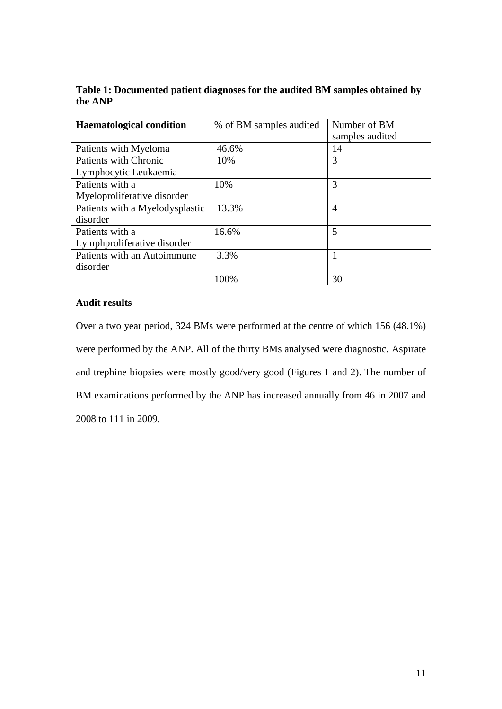| Table 1: Documented patient diagnoses for the audited BM samples obtained by |  |
|------------------------------------------------------------------------------|--|
| the ANP                                                                      |  |

| <b>Haematological condition</b> | % of BM samples audited | Number of BM    |
|---------------------------------|-------------------------|-----------------|
|                                 |                         | samples audited |
| Patients with Myeloma           | 46.6%                   | 14              |
| Patients with Chronic           | 10%                     | 3               |
| Lymphocytic Leukaemia           |                         |                 |
| Patients with a                 | 10%                     | 3               |
| Myeloproliferative disorder     |                         |                 |
| Patients with a Myelodysplastic | 13.3%                   | 4               |
| disorder                        |                         |                 |
| Patients with a                 | 16.6%                   | 5               |
| Lymphproliferative disorder     |                         |                 |
| Patients with an Autoimmune     | 3.3%                    |                 |
| disorder                        |                         |                 |
|                                 | 100%                    | 30              |

# **Audit results**

Over a two year period, 324 BMs were performed at the centre of which 156 (48.1%) were performed by the ANP. All of the thirty BMs analysed were diagnostic. Aspirate and trephine biopsies were mostly good/very good (Figures 1 and 2). The number of BM examinations performed by the ANP has increased annually from 46 in 2007 and 2008 to 111 in 2009.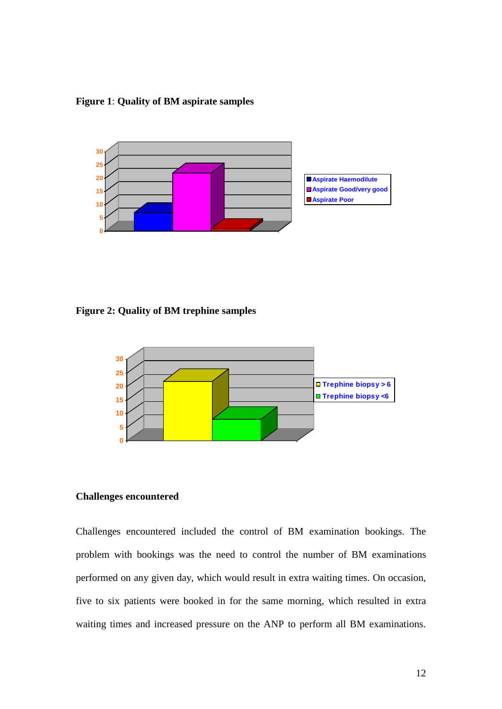**Figure 1**: **Quality of BM aspirate samples**



**Figure 2: Quality of BM trephine samples**



## **Challenges encountered**

Challenges encountered included the control of BM examination bookings. The problem with bookings was the need to control the number of BM examinations performed on any given day, which would result in extra waiting times. On occasion, five to six patients were booked in for the same morning, which resulted in extra waiting times and increased pressure on the ANP to perform all BM examinations.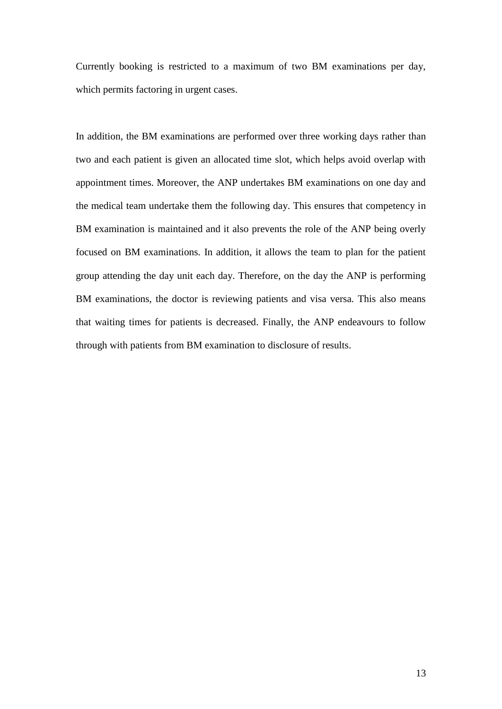Currently booking is restricted to a maximum of two BM examinations per day, which permits factoring in urgent cases.

In addition, the BM examinations are performed over three working days rather than two and each patient is given an allocated time slot, which helps avoid overlap with appointment times. Moreover, the ANP undertakes BM examinations on one day and the medical team undertake them the following day. This ensures that competency in BM examination is maintained and it also prevents the role of the ANP being overly focused on BM examinations. In addition, it allows the team to plan for the patient group attending the day unit each day. Therefore, on the day the ANP is performing BM examinations, the doctor is reviewing patients and visa versa. This also means that waiting times for patients is decreased. Finally, the ANP endeavours to follow through with patients from BM examination to disclosure of results.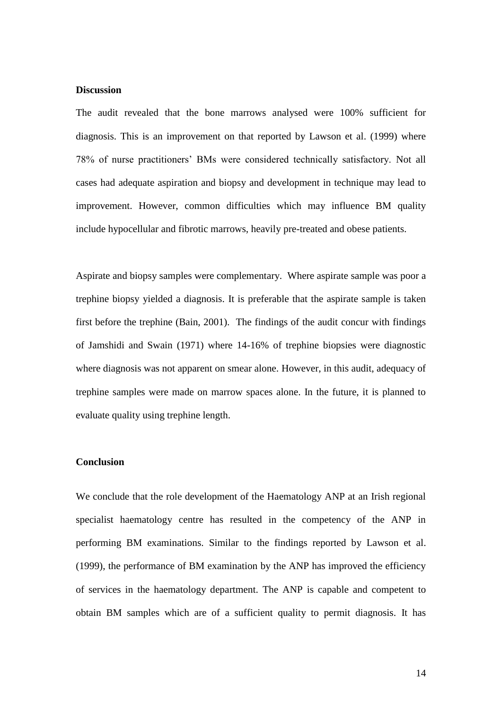### **Discussion**

The audit revealed that the bone marrows analysed were 100% sufficient for diagnosis. This is an improvement on that reported by Lawson et al. (1999) where 78% of nurse practitioners' BMs were considered technically satisfactory. Not all cases had adequate aspiration and biopsy and development in technique may lead to improvement. However, common difficulties which may influence BM quality include hypocellular and fibrotic marrows, heavily pre-treated and obese patients.

Aspirate and biopsy samples were complementary. Where aspirate sample was poor a trephine biopsy yielded a diagnosis. It is preferable that the aspirate sample is taken first before the trephine (Bain, 2001). The findings of the audit concur with findings of Jamshidi and Swain (1971) where 14-16% of trephine biopsies were diagnostic where diagnosis was not apparent on smear alone. However, in this audit, adequacy of trephine samples were made on marrow spaces alone. In the future, it is planned to evaluate quality using trephine length.

### **Conclusion**

We conclude that the role development of the Haematology ANP at an Irish regional specialist haematology centre has resulted in the competency of the ANP in performing BM examinations. Similar to the findings reported by Lawson et al. (1999), the performance of BM examination by the ANP has improved the efficiency of services in the haematology department. The ANP is capable and competent to obtain BM samples which are of a sufficient quality to permit diagnosis. It has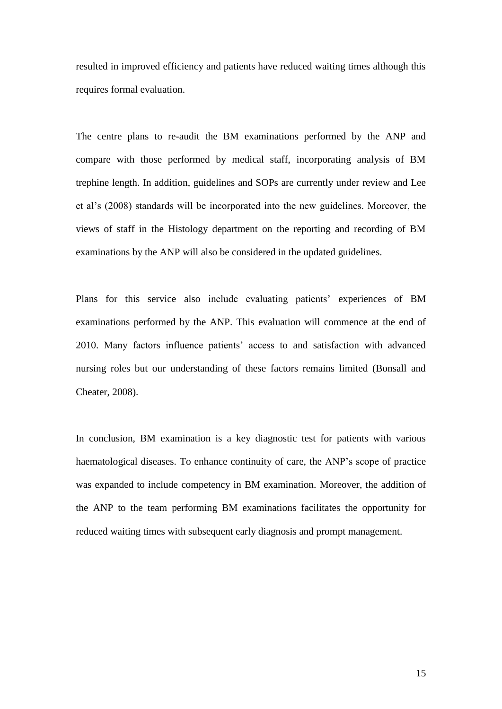resulted in improved efficiency and patients have reduced waiting times although this requires formal evaluation.

The centre plans to re-audit the BM examinations performed by the ANP and compare with those performed by medical staff, incorporating analysis of BM trephine length. In addition, guidelines and SOPs are currently under review and Lee et al's (2008) standards will be incorporated into the new guidelines. Moreover, the views of staff in the Histology department on the reporting and recording of BM examinations by the ANP will also be considered in the updated guidelines.

Plans for this service also include evaluating patients' experiences of BM examinations performed by the ANP. This evaluation will commence at the end of 2010. Many factors influence patients' access to and satisfaction with advanced nursing roles but our understanding of these factors remains limited (Bonsall and Cheater, 2008).

In conclusion, BM examination is a key diagnostic test for patients with various haematological diseases. To enhance continuity of care, the ANP's scope of practice was expanded to include competency in BM examination. Moreover, the addition of the ANP to the team performing BM examinations facilitates the opportunity for reduced waiting times with subsequent early diagnosis and prompt management.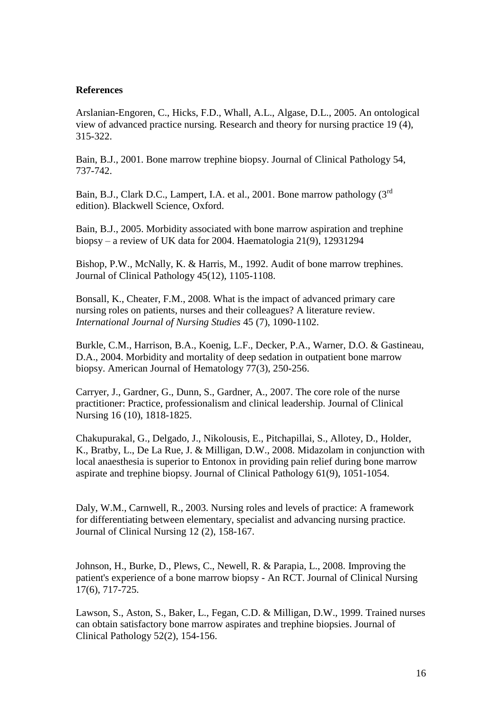## **References**

Arslanian-Engoren, C., Hicks, F.D., Whall, A.L., Algase, D.L., 2005. An ontological view of advanced practice nursing. Research and theory for nursing practice 19 (4), 315-322.

Bain, B.J., 2001. Bone marrow trephine biopsy. Journal of Clinical Pathology 54, 737-742.

Bain, B.J., Clark D.C., Lampert, I.A. et al., 2001. Bone marrow pathology (3rd) edition). Blackwell Science, Oxford.

Bain, B.J., 2005. Morbidity associated with bone marrow aspiration and trephine biopsy – a review of UK data for 2004. Haematologia 21(9), 12931294

Bishop, P.W., McNally, K. & Harris, M., 1992. Audit of bone marrow trephines. Journal of Clinical Pathology 45(12), 1105-1108.

Bonsall, K., Cheater, F.M., 2008. What is the impact of advanced primary care nursing roles on patients, nurses and their colleagues? A literature review. *International Journal of Nursing Studies* 45 (7), 1090-1102.

Burkle, C.M., Harrison, B.A., Koenig, L.F., Decker, P.A., Warner, D.O. & Gastineau, D.A., 2004. Morbidity and mortality of deep sedation in outpatient bone marrow biopsy. American Journal of Hematology 77(3), 250-256.

Carryer, J., Gardner, G., Dunn, S., Gardner, A., 2007. The core role of the nurse practitioner: Practice, professionalism and clinical leadership. Journal of Clinical Nursing 16 (10), 1818-1825.

Chakupurakal, G., Delgado, J., Nikolousis, E., Pitchapillai, S., Allotey, D., Holder, K., Bratby, L., De La Rue, J. & Milligan, D.W., 2008. Midazolam in conjunction with local anaesthesia is superior to Entonox in providing pain relief during bone marrow aspirate and trephine biopsy. Journal of Clinical Pathology 61(9), 1051-1054.

Daly, W.M., Carnwell, R., 2003. Nursing roles and levels of practice: A framework for differentiating between elementary, specialist and advancing nursing practice. Journal of Clinical Nursing 12 (2), 158-167.

Johnson, H., Burke, D., Plews, C., Newell, R. & Parapia, L., 2008. Improving the patient's experience of a bone marrow biopsy - An RCT. Journal of Clinical Nursing 17(6), 717-725.

Lawson, S., Aston, S., Baker, L., Fegan, C.D. & Milligan, D.W., 1999. Trained nurses can obtain satisfactory bone marrow aspirates and trephine biopsies. Journal of Clinical Pathology 52(2), 154-156.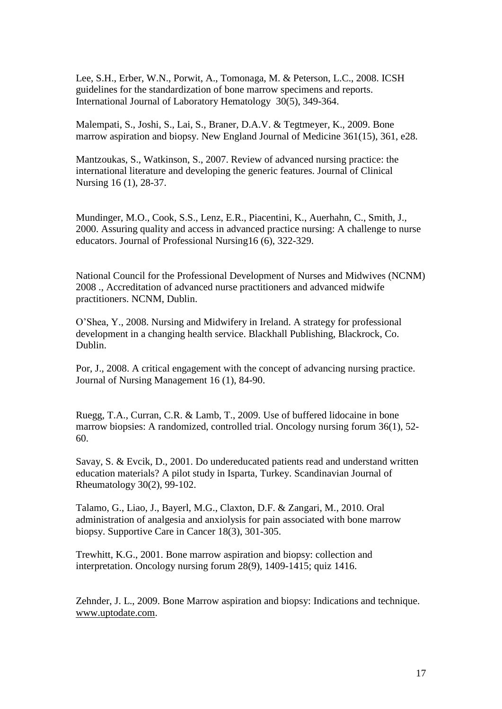Lee, S.H., Erber, W.N., Porwit, A., Tomonaga, M. & Peterson, L.C., 2008. ICSH guidelines for the standardization of bone marrow specimens and reports. International Journal of Laboratory Hematology 30(5), 349-364.

Malempati, S., Joshi, S., Lai, S., Braner, D.A.V. & Tegtmeyer, K., 2009. Bone marrow aspiration and biopsy. New England Journal of Medicine 361(15), 361, e28.

Mantzoukas, S., Watkinson, S., 2007. Review of advanced nursing practice: the international literature and developing the generic features. Journal of Clinical Nursing 16 (1), 28-37.

Mundinger, M.O., Cook, S.S., Lenz, E.R., Piacentini, K., Auerhahn, C., Smith, J., 2000. Assuring quality and access in advanced practice nursing: A challenge to nurse educators. Journal of Professional Nursing16 (6), 322-329.

National Council for the Professional Development of Nurses and Midwives (NCNM) 2008 ., Accreditation of advanced nurse practitioners and advanced midwife practitioners. NCNM, Dublin.

O'Shea, Y., 2008. Nursing and Midwifery in Ireland. A strategy for professional development in a changing health service. Blackhall Publishing, Blackrock, Co. Dublin.

Por, J., 2008. A critical engagement with the concept of advancing nursing practice. Journal of Nursing Management 16 (1), 84-90.

Ruegg, T.A., Curran, C.R. & Lamb, T., 2009. Use of buffered lidocaine in bone marrow biopsies: A randomized, controlled trial. Oncology nursing forum 36(1), 52- 60.

Savay, S. & Evcik, D., 2001. Do undereducated patients read and understand written education materials? A pilot study in Isparta, Turkey. Scandinavian Journal of Rheumatology 30(2), 99-102.

Talamo, G., Liao, J., Bayerl, M.G., Claxton, D.F. & Zangari, M., 2010. Oral administration of analgesia and anxiolysis for pain associated with bone marrow biopsy. Supportive Care in Cancer 18(3), 301-305.

Trewhitt, K.G., 2001. Bone marrow aspiration and biopsy: collection and interpretation. Oncology nursing forum 28(9), 1409-1415; quiz 1416.

Zehnder, J. L., 2009. Bone Marrow aspiration and biopsy: Indications and technique. [www.uptodate.com.](http://www.uptodate.com/)